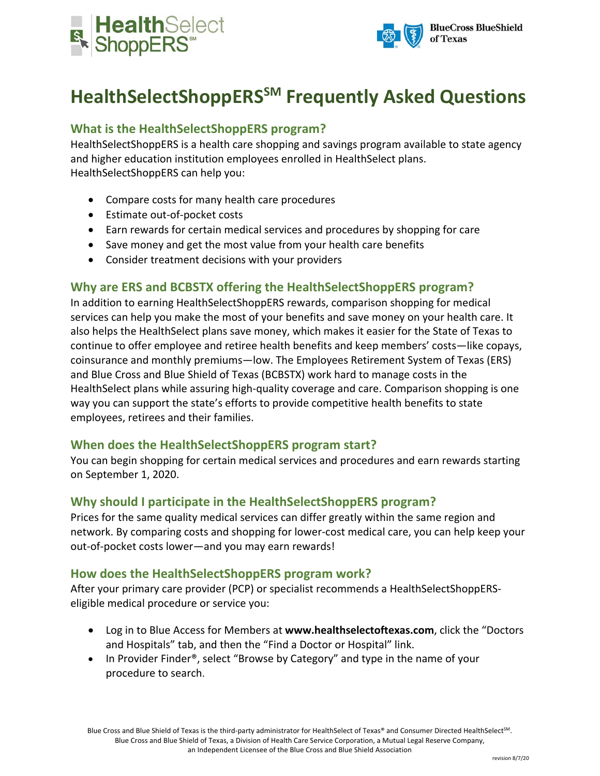



# **HealthSelectShoppERSSM Frequently Asked Questions**

## **What is the HealthSelectShoppERS program?**

HealthSelectShoppERS is a health care shopping and savings program available to state agency and higher education institution employees enrolled in HealthSelect plans. HealthSelectShoppERS can help you:

- Compare costs for many health care procedures
- Estimate out-of-pocket costs
- Earn rewards for certain medical services and procedures by shopping for care
- Save money and get the most value from your health care benefits
- Consider treatment decisions with your providers

### **Why are ERS and BCBSTX offering the HealthSelectShoppERS program?**

In addition to earning HealthSelectShoppERS rewards, comparison shopping for medical services can help you make the most of your benefits and save money on your health care. It also helps the HealthSelect plans save money, which makes it easier for the State of Texas to continue to offer employee and retiree health benefits and keep members' costs—like copays, coinsurance and monthly premiums—low. The Employees Retirement System of Texas (ERS) and Blue Cross and Blue Shield of Texas (BCBSTX) work hard to manage costs in the HealthSelect plans while assuring high-quality coverage and care. Comparison shopping is one way you can support the state's efforts to provide competitive health benefits to state employees, retirees and their families.

### **When does the HealthSelectShoppERS program start?**

You can begin shopping for certain medical services and procedures and earn rewards starting on September 1, 2020.

### **Why should I participate in the HealthSelectShoppERS program?**

Prices for the same quality medical services can differ greatly within the same region and network. By comparing costs and shopping for lower-cost medical care, you can help keep your out-of-pocket costs lower—and you may earn rewards!

### **How does the HealthSelectShoppERS program work?**

After your primary care provider (PCP) or specialist recommends a HealthSelectShoppERSeligible medical procedure or service you:

- Log in to Blue Access for Members at **www.healthselectoftexas.com**, click the "Doctors and Hospitals" tab, and then the "Find a Doctor or Hospital" link.
- In Provider Finder<sup>®</sup>, select "Browse by Category" and type in the name of your procedure to search.

Blue Cross and Blue Shield of Texas is the third-party administrator for HealthSelect of Texas® and Consumer Directed HealthSelect<sup>SM</sup>. Blue Cross and Blue Shield of Texas, a Division of Health Care Service Corporation, a Mutual Legal Reserve Company, an Independent Licensee of the Blue Cross and Blue Shield Association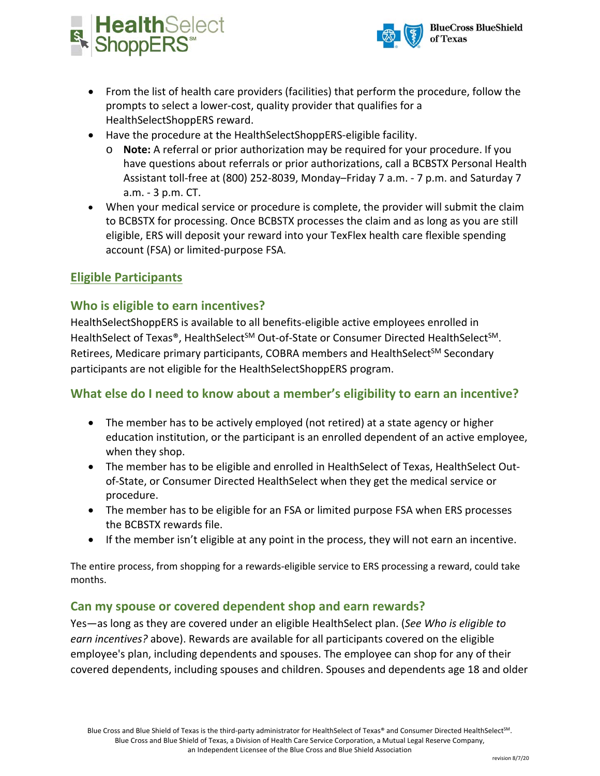



- From the list of health care providers (facilities) that perform the procedure, follow the prompts to select a lower-cost, quality provider that qualifies for a HealthSelectShoppERS reward.
- Have the procedure at the HealthSelectShoppERS-eligible facility.
	- o **Note:** A referral or prior authorization may be required for your procedure. If you have questions about referrals or prior authorizations, call a BCBSTX Personal Health Assistant toll-free at (800) 252-8039, Monday–Friday 7 a.m. - 7 p.m. and Saturday 7 a.m. - 3 p.m. CT.
- When your medical service or procedure is complete, the provider will submit the claim to BCBSTX for processing. Once BCBSTX processes the claim and as long as you are still eligible, ERS will deposit your reward into your TexFlex health care flexible spending account (FSA) or limited-purpose FSA.

## **Eligible Participants**

### **Who is eligible to earn incentives?**

HealthSelectShoppERS is available to all benefits-eligible active employees enrolled in HealthSelect of Texas®, HealthSelect<sup>SM</sup> Out-of-State or Consumer Directed HealthSelect<sup>SM</sup>. Retirees, Medicare primary participants, COBRA members and HealthSelect<sup>SM</sup> Secondary participants are not eligible for the HealthSelectShoppERS program.

## **What else do I need to know about a member's eligibility to earn an incentive?**

- The member has to be actively employed (not retired) at a state agency or higher education institution, or the participant is an enrolled dependent of an active employee, when they shop.
- The member has to be eligible and enrolled in HealthSelect of Texas, HealthSelect Outof-State, or Consumer Directed HealthSelect when they get the medical service or procedure.
- The member has to be eligible for an FSA or limited purpose FSA when ERS processes the BCBSTX rewards file.
- If the member isn't eligible at any point in the process, they will not earn an incentive.

The entire process, from shopping for a rewards-eligible service to ERS processing a reward, could take months.

### **Can my spouse or covered dependent shop and earn rewards?**

Yes—as long as they are covered under an eligible HealthSelect plan. (*See Who is eligible to earn incentives?* above). Rewards are available for all participants covered on the eligible employee's plan, including dependents and spouses. The employee can shop for any of their covered dependents, including spouses and children. Spouses and dependents age 18 and older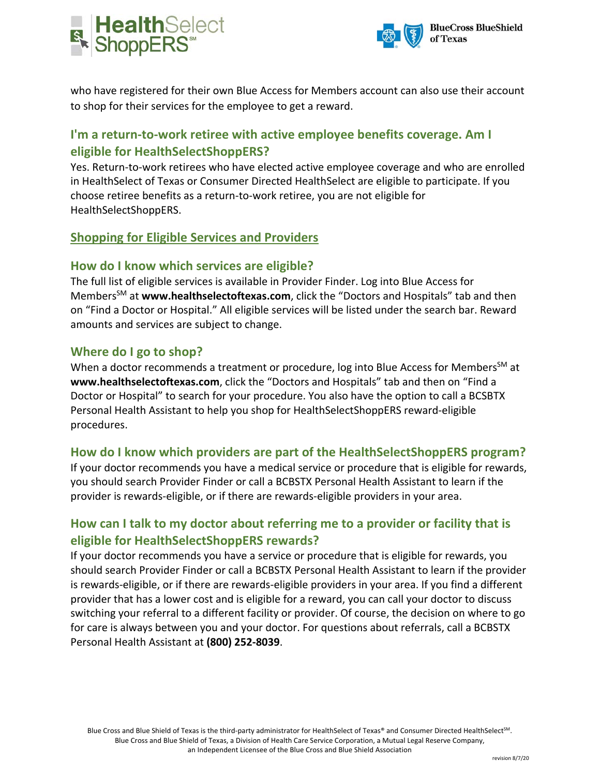



who have registered for their own Blue Access for Members account can also use their account to shop for their services for the employee to get a reward.

# **I'm a return-to-work retiree with active employee benefits coverage. Am I eligible for HealthSelectShoppERS?**

Yes. Return-to-work retirees who have elected active employee coverage and who are enrolled in HealthSelect of Texas or Consumer Directed HealthSelect are eligible to participate. If you choose retiree benefits as a return-to-work retiree, you are not eligible for HealthSelectShoppERS.

## **Shopping for Eligible Services and Providers**

### **How do I know which services are eligible?**

The full list of eligible services is available in Provider Finder. Log into Blue Access for Members<sup>SM</sup> at www.healthselectoftexas.com, click the "Doctors and Hospitals" tab and then on "Find a Doctor or Hospital." All eligible services will be listed under the search bar. Reward amounts and services are subject to change.

### **Where do I go to shop?**

When a doctor recommends a treatment or procedure, log into Blue Access for Members<sup>SM</sup> at **www.healthselectoftexas.com**, click the "Doctors and Hospitals" tab and then on "Find a Doctor or Hospital" to search for your procedure. You also have the option to call a BCSBTX Personal Health Assistant to help you shop for HealthSelectShoppERS reward-eligible procedures.

### **How do I know which providers are part of the HealthSelectShoppERS program?**

If your doctor recommends you have a medical service or procedure that is eligible for rewards, you should search Provider Finder or call a BCBSTX Personal Health Assistant to learn if the provider is rewards-eligible, or if there are rewards-eligible providers in your area.

## **How can I talk to my doctor about referring me to a provider or facility that is eligible for HealthSelectShoppERS rewards?**

If your doctor recommends you have a service or procedure that is eligible for rewards, you should search Provider Finder or call a BCBSTX Personal Health Assistant to learn if the provider is rewards-eligible, or if there are rewards-eligible providers in your area. If you find a different provider that has a lower cost and is eligible for a reward, you can call your doctor to discuss switching your referral to a different facility or provider. Of course, the decision on where to go for care is always between you and your doctor. For questions about referrals, call a BCBSTX Personal Health Assistant at **(800) 252-8039**.

Blue Cross and Blue Shield of Texas is the third-party administrator for HealthSelect of Texas® and Consumer Directed HealthSelect<sup>SM</sup>. Blue Cross and Blue Shield of Texas, a Division of Health Care Service Corporation, a Mutual Legal Reserve Company, an Independent Licensee of the Blue Cross and Blue Shield Association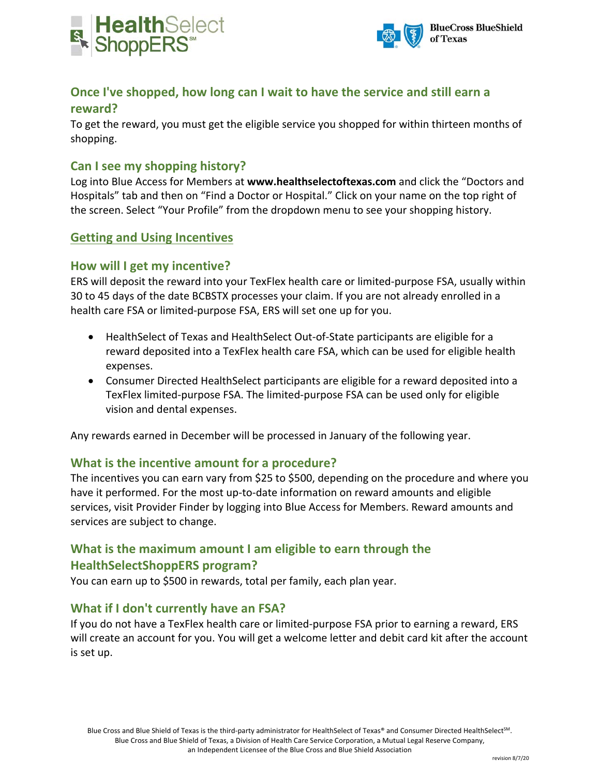



# **Once I've shopped, how long can I wait to have the service and still earn a**

### **reward?**

To get the reward, you must get the eligible service you shopped for within thirteen months of shopping.

### **Can I see my shopping history?**

Log into Blue Access for Members at **www.healthselectoftexas.com** and click the "Doctors and Hospitals" tab and then on "Find a Doctor or Hospital." Click on your name on the top right of the screen. Select "Your Profile" from the dropdown menu to see your shopping history.

### **Getting and Using Incentives**

### **How will I get my incentive?**

ERS will deposit the reward into your TexFlex health care or limited-purpose FSA, usually within 30 to 45 days of the date BCBSTX processes your claim. If you are not already enrolled in a health care FSA or limited-purpose FSA, ERS will set one up for you.

- HealthSelect of Texas and HealthSelect Out-of-State participants are eligible for a reward deposited into a TexFlex health care FSA, which can be used for eligible health expenses.
- Consumer Directed HealthSelect participants are eligible for a reward deposited into a TexFlex limited-purpose FSA. The limited-purpose FSA can be used only for eligible vision and dental expenses.

Any rewards earned in December will be processed in January of the following year.

### **What is the incentive amount for a procedure?**

The incentives you can earn vary from \$25 to \$500, depending on the procedure and where you have it performed. For the most up-to-date information on reward amounts and eligible services, visit Provider Finder by logging into Blue Access for Members. Reward amounts and services are subject to change.

## **What is the maximum amount I am eligible to earn through the HealthSelectShoppERS program?**

You can earn up to \$500 in rewards, total per family, each plan year.

## **What if I don't currently have an FSA?**

If you do not have a TexFlex health care or limited-purpose FSA prior to earning a reward, ERS will create an account for you. You will get a welcome letter and debit card kit after the account is set up.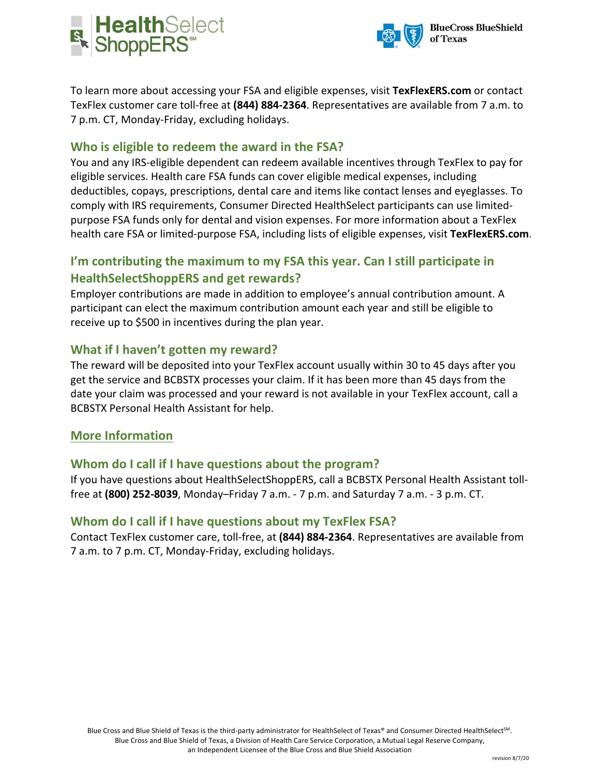



To learn more about accessing your FSA and eligible expenses, visit **TexFlexERS.com** or contact TexFlex customer care toll-free at **(844) 884-2364**. Representatives are available from 7 a.m. to 7 p.m. CT, Monday-Friday, excluding holidays.

### **Who is eligible to redeem the award in the FSA?**

You and any IRS-eligible dependent can redeem available incentives through TexFlex to pay for eligible services. Health care FSA funds can cover eligible medical expenses, including deductibles, copays, prescriptions, dental care and items like contact lenses and eyeglasses. To comply with IRS requirements, Consumer Directed HealthSelect participants can use limitedpurpose FSA funds only for dental and vision expenses. For more information about a TexFlex health care FSA or limited-purpose FSA, including lists of eligible expenses, visit **TexFlexERS.com**.

## **I'm contributing the maximum to my FSA this year. Can I still participate in HealthSelectShoppERS and get rewards?**

Employer contributions are made in addition to employee's annual contribution amount. A participant can elect the maximum contribution amount each year and still be eligible to receive up to \$500 in incentives during the plan year.

### **What if I haven't gotten my reward?**

The reward will be deposited into your TexFlex account usually within 30 to 45 days after you get the service and BCBSTX processes your claim. If it has been more than 45 days from the date your claim was processed and your reward is not available in your TexFlex account, call a BCBSTX Personal Health Assistant for help.

#### **More Information**

### **Whom do I call if I have questions about the program?**

If you have questions about HealthSelectShoppERS, call a BCBSTX Personal Health Assistant tollfree at **(800) 252-8039**, Monday–Friday 7 a.m. - 7 p.m. and Saturday 7 a.m. - 3 p.m. CT.

#### **Whom do I call if I have questions about my TexFlex FSA?**

Contact TexFlex customer care, toll-free, at **(844) 884-2364**. Representatives are available from 7 a.m. to 7 p.m. CT, Monday-Friday, excluding holidays.